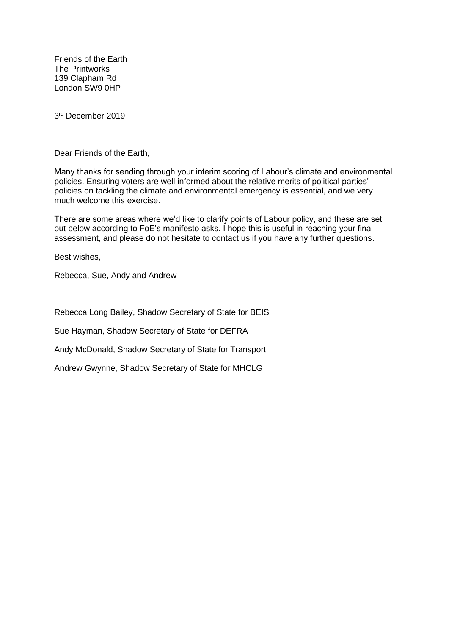Friends of the Earth The Printworks 139 Clapham Rd London SW9 0HP

3 rd December 2019

Dear Friends of the Earth,

Many thanks for sending through your interim scoring of Labour's climate and environmental policies. Ensuring voters are well informed about the relative merits of political parties' policies on tackling the climate and environmental emergency is essential, and we very much welcome this exercise.

There are some areas where we'd like to clarify points of Labour policy, and these are set out below according to FoE's manifesto asks. I hope this is useful in reaching your final assessment, and please do not hesitate to contact us if you have any further questions.

Best wishes,

Rebecca, Sue, Andy and Andrew

Rebecca Long Bailey, Shadow Secretary of State for BEIS

Sue Hayman, Shadow Secretary of State for DEFRA

Andy McDonald, Shadow Secretary of State for Transport

Andrew Gwynne, Shadow Secretary of State for MHCLG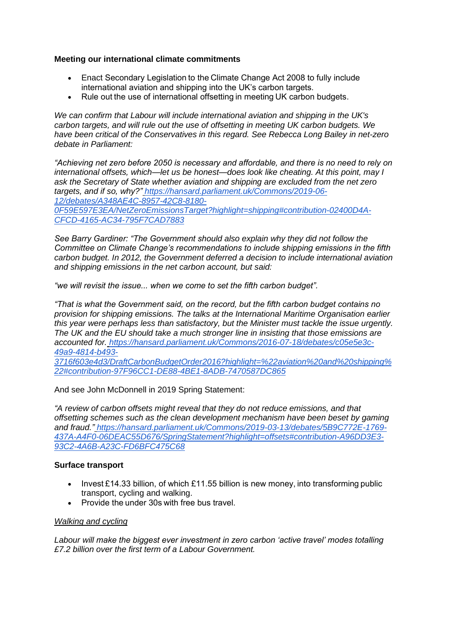## **Meeting our international climate commitments**

- Enact Secondary Legislation to the Climate Change Act 2008 to fully include international aviation and shipping into the UK's carbon targets.
- Rule out the use of international offsetting in meeting UK carbon budgets.

*We can confirm that Labour will include international aviation and shipping in the UK's carbon targets, and will rule out the use of offsetting in meeting UK carbon budgets. We have been critical of the Conservatives in this regard. See Rebecca Long Bailey in net-zero debate in Parliament:*

*"Achieving net zero before 2050 is necessary and affordable, and there is no need to rely on international offsets, which—let us be honest—does look like cheating. At this point, may I ask the Secretary of State whether aviation and shipping are excluded from the net zero targets, and if so, why?" [https://hansard.parliament.uk/Commons/2019-06-](https://hansard.parliament.uk/Commons/2019-06-12/debates/A348AE4C-8957-42C8-8180-0F59E597E3EA/NetZeroEmissionsTarget?highlight=shipping#contribution-02400D4A-CFCD-4165-AC34-795F7CAD7883) [12/debates/A348AE4C-8957-42C8-8180-](https://hansard.parliament.uk/Commons/2019-06-12/debates/A348AE4C-8957-42C8-8180-0F59E597E3EA/NetZeroEmissionsTarget?highlight=shipping#contribution-02400D4A-CFCD-4165-AC34-795F7CAD7883) [0F59E597E3EA/NetZeroEmissionsTarget?highlight=shipping#contribution-02400D4A-](https://hansard.parliament.uk/Commons/2019-06-12/debates/A348AE4C-8957-42C8-8180-0F59E597E3EA/NetZeroEmissionsTarget?highlight=shipping#contribution-02400D4A-CFCD-4165-AC34-795F7CAD7883)[CFCD-4165-AC34-795F7CAD7883](https://hansard.parliament.uk/Commons/2019-06-12/debates/A348AE4C-8957-42C8-8180-0F59E597E3EA/NetZeroEmissionsTarget?highlight=shipping#contribution-02400D4A-CFCD-4165-AC34-795F7CAD7883)*

*See Barry Gardiner: "The Government should also explain why they did not follow the Committee on Climate Change's recommendations to include shipping emissions in the fifth carbon budget. In 2012, the Government deferred a decision to include international aviation and shipping emissions in the net carbon account, but said:*

*"we will revisit the issue... when we come to set the fifth carbon budget".*

*"That is what the Government said, on the record, but the fifth carbon budget contains no provision for shipping emissions. The talks at the International Maritime Organisation earlier this year were perhaps less than satisfactory, but the Minister must tackle the issue urgently. The UK and the EU should take a much stronger line in insisting that those emissions are accounted for. [https://hansard.parliament.uk/Commons/2016-07-18/debates/c05e5e3c-](https://hansard.parliament.uk/Commons/2016-07-18/debates/c05e5e3c-49a9-4814-b493-3716f603e4d3/DraftCarbonBudgetOrder2016?highlight=%22aviation%20and%20shipping%22#contribution-97F96CC1-DE88-4BE1-8ADB-7470587DC865)[49a9-4814-b493-](https://hansard.parliament.uk/Commons/2016-07-18/debates/c05e5e3c-49a9-4814-b493-3716f603e4d3/DraftCarbonBudgetOrder2016?highlight=%22aviation%20and%20shipping%22#contribution-97F96CC1-DE88-4BE1-8ADB-7470587DC865)*

*[3716f603e4d3/DraftCarbonBudgetOrder2016?highlight=%22aviation%20and%20shipping%](https://hansard.parliament.uk/Commons/2016-07-18/debates/c05e5e3c-49a9-4814-b493-3716f603e4d3/DraftCarbonBudgetOrder2016?highlight=%22aviation%20and%20shipping%22#contribution-97F96CC1-DE88-4BE1-8ADB-7470587DC865) [22#contribution-97F96CC1-DE88-4BE1-8ADB-7470587DC865](https://hansard.parliament.uk/Commons/2016-07-18/debates/c05e5e3c-49a9-4814-b493-3716f603e4d3/DraftCarbonBudgetOrder2016?highlight=%22aviation%20and%20shipping%22#contribution-97F96CC1-DE88-4BE1-8ADB-7470587DC865)*

And see John McDonnell in 2019 Spring Statement:

*"A review of carbon offsets might reveal that they do not reduce emissions, and that offsetting schemes such as the clean development mechanism have been beset by gaming and fraud." [https://hansard.parliament.uk/Commons/2019-03-13/debates/5B9C772E-1769-](https://hansard.parliament.uk/Commons/2019-03-13/debates/5B9C772E-1769-437A-A4F0-06DEAC55D676/SpringStatement?highlight=offsets#contribution-A96DD3E3-93C2-4A6B-A23C-FD6BFC475C68) [437A-A4F0-06DEAC55D676/SpringStatement?highlight=offsets#contribution-A96DD3E3-](https://hansard.parliament.uk/Commons/2019-03-13/debates/5B9C772E-1769-437A-A4F0-06DEAC55D676/SpringStatement?highlight=offsets#contribution-A96DD3E3-93C2-4A6B-A23C-FD6BFC475C68) [93C2-4A6B-A23C-FD6BFC475C68](https://hansard.parliament.uk/Commons/2019-03-13/debates/5B9C772E-1769-437A-A4F0-06DEAC55D676/SpringStatement?highlight=offsets#contribution-A96DD3E3-93C2-4A6B-A23C-FD6BFC475C68)*

## **Surface transport**

- Invest £14.33 billion, of which £11.55 billion is new money, into transforming public transport, cycling and walking.
- Provide the under 30s with free bus travel

## *Walking and cycling*

*Labour will make the biggest ever investment in zero carbon 'active travel' modes totalling £7.2 billion over the first term of a Labour Government.*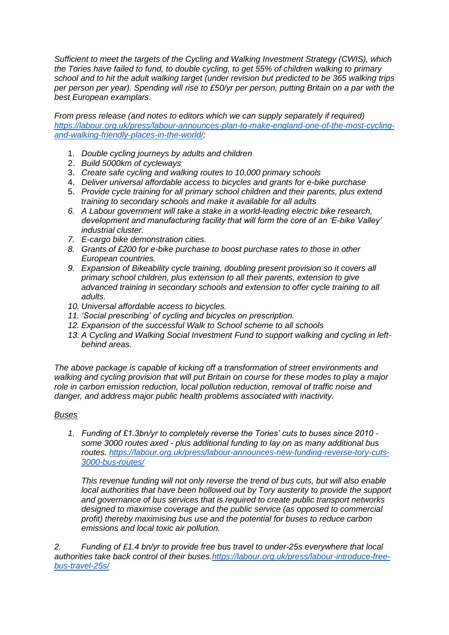*Sufficient to meet the targets of the Cycling and Walking Investment Strategy (CWIS), which the Tories have failed to fund, to double cycling, to get 55% of children walking to primary school and to hit the adult walking target (under revision but predicted to be 365 walking trips per person per year). Spending will rise to £50/yr per person, putting Britain on a par with the best European examplars.*

*From press release (and notes to editors which we can supply separately if required) [https://labour.org.uk/press/labour-announces-plan-to-make-england-one-of-the-most-cycling](https://labour.org.uk/press/labour-announces-plan-to-make-england-one-of-the-most-cycling-and-walking-friendly-places-in-the-world/)[and-walking-friendly-places-in-the-world/:](https://labour.org.uk/press/labour-announces-plan-to-make-england-one-of-the-most-cycling-and-walking-friendly-places-in-the-world/)*

- 1. *Double cycling journeys by adults and children*
- 2. *Build 5000km of cycleways*
- 3. *Create safe cycling and walking routes to 10,000 primary schools*
- 4. *Deliver universal affordable access to bicycles and grants for e-bike purchase*
- 5. *Provide cycle training for all primary school children and their parents, plus extend training to secondary schools and make it available for all adults*
- *6. A Labour government will take a stake in a world-leading electric bike research, development and manufacturing facility that will form the core of an 'E-bike Valley' industrial cluster.*
- *7. E-cargo bike demonstration cities.*
- *8. Grants of £200 for e-bike purchase to boost purchase rates to those in other European countries.*
- *9. Expansion of Bikeability cycle training, doubling present provision so it covers all primary school children, plus extension to all their parents, extension to give advanced training in secondary schools and extension to offer cycle training to all adults.*
- *10. Universal affordable access to bicycles.*
- *11. 'Social prescribing' of cycling and bicycles on prescription.*
- *12. Expansion of the successful Walk to School scheme to all schools*
- *13. A Cycling and Walking Social Investment Fund to support walking and cycling in leftbehind areas.*

*The above package is capable of kicking off a transformation of street environments and walking and cycling provision that will put Britain on course for these modes to play a major role in carbon emission reduction, local pollution reduction, removal of traffic noise and danger, and address major public health problems associated with inactivity.*

## *Buses*

*1. Funding of £1.3bn/yr to completely reverse the Tories' cuts to buses since 2010 some 3000 routes axed - plus additional funding to lay on as many additional bus routes. [https://labour.org.uk/press/labour-announces-new-funding-reverse-tory-cuts-](https://labour.org.uk/press/labour-announces-new-funding-reverse-tory-cuts-3000-bus-routes/)[3000-bus-routes/](https://labour.org.uk/press/labour-announces-new-funding-reverse-tory-cuts-3000-bus-routes/)*

*This revenue funding will not only reverse the trend of bus cuts, but will also enable local authorities that have been hollowed out by Tory austerity to provide the support and governance of bus services that is required to create public transport networks designed to maximise coverage and the public service (as opposed to commercial profit) thereby maximising bus use and the potential for buses to reduce carbon emissions and local toxic air pollution.*

*2. Funding of £1.4 bn/yr to provide free bus travel to under-25s everywhere that local authorities take back control of their buses[.https://labour.org.uk/press/labour-introduce-free](https://labour.org.uk/press/labour-introduce-free-bus-travel-25s/)[bus-travel-25s/](https://labour.org.uk/press/labour-introduce-free-bus-travel-25s/)*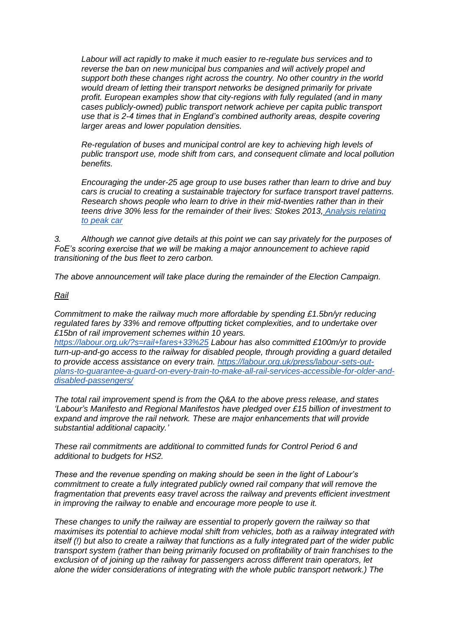*Labour will act rapidly to make it much easier to re-regulate bus services and to reverse the ban on new municipal bus companies and will actively propel and support both these changes right across the country. No other country in the world would dream of letting their transport networks be designed primarily for private profit. European examples show that city-regions with fully regulated (and in many cases publicly-owned) public transport network achieve per capita public transport use that is 2-4 times that in England's combined authority areas, despite covering larger areas and lower population densities.*

*Re-regulation of buses and municipal control are key to achieving high levels of public transport use, mode shift from cars, and consequent climate and local pollution benefits.*

*Encouraging the under-25 age group to use buses rather than learn to drive and buy cars is crucial to creating a sustainable trajectory for surface transport travel patterns. Research shows people who learn to drive in their mid-twenties rather than in their teens drive 30% less for the remainder of their lives: Stokes 2013, [Analysis relating](http://www.gordonstokes.co.uk/transport/analysis.html)  [to peak car](http://www.gordonstokes.co.uk/transport/analysis.html)*

*3. Although we cannot give details at this point we can say privately for the purposes of FoE's scoring exercise that we will be making a major announcement to achieve rapid transitioning of the bus fleet to zero carbon.*

*The above announcement will take place during the remainder of the Election Campaign.*

#### *Rail*

*Commitment to make the railway much more affordable by spending £1.5bn/yr reducing regulated fares by 33% and remove offputting ticket complexities, and to undertake over £15bn of rail improvement schemes within 10 years.*

*<https://labour.org.uk/?s=rail+fares+33%25> Labour has also committed £100m/yr to provide turn-up-and-go access to the railway for disabled people, through providing a guard detailed to provide access assistance on every train. [https://labour.org.uk/press/labour-sets-out](https://labour.org.uk/press/labour-sets-out-plans-to-guarantee-a-guard-on-every-train-to-make-all-rail-services-accessible-for-older-and-disabled-passengers/)[plans-to-guarantee-a-guard-on-every-train-to-make-all-rail-services-accessible-for-older-and](https://labour.org.uk/press/labour-sets-out-plans-to-guarantee-a-guard-on-every-train-to-make-all-rail-services-accessible-for-older-and-disabled-passengers/)[disabled-passengers/](https://labour.org.uk/press/labour-sets-out-plans-to-guarantee-a-guard-on-every-train-to-make-all-rail-services-accessible-for-older-and-disabled-passengers/)*

*The total rail improvement spend is from the Q&A to the above press release, and states 'Labour's Manifesto and Regional Manifestos have pledged over £15 billion of investment to expand and improve the rail network. These are major enhancements that will provide substantial additional capacity.'*

*These rail commitments are additional to committed funds for Control Period 6 and additional to budgets for HS2.*

*These and the revenue spending on making should be seen in the light of Labour's commitment to create a fully integrated publicly owned rail company that will remove the fragmentation that prevents easy travel across the railway and prevents efficient investment in improving the railway to enable and encourage more people to use it.*

*These changes to unify the railway are essential to properly govern the railway so that maximises its potential to achieve modal shift from vehicles, both as a railway integrated with itself (!) but also to create a railway that functions as a fully integrated part of the wider public transport system (rather than being primarily focused on profitability of train franchises to the exclusion of of joining up the railway for passengers across different train operators, let alone the wider considerations of integrating with the whole public transport network.) The*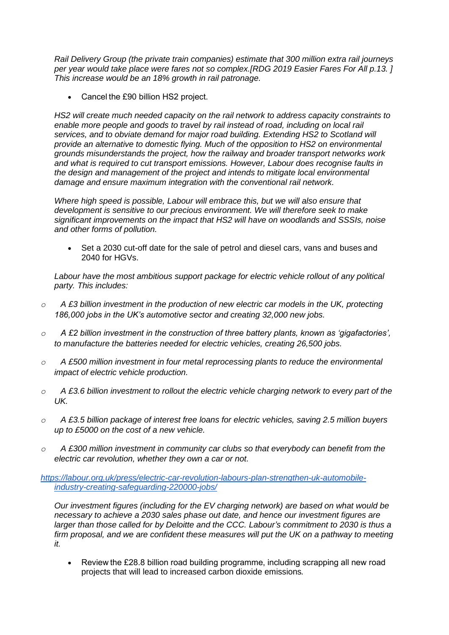*Rail Delivery Group (the private train companies) estimate that 300 million extra rail journeys per year would take place were fares not so complex.[RDG 2019 Easier Fares For All p.13. ] This increase would be an 18% growth in rail patronage.*

• Cancel the £90 billion HS2 project.

*HS2 will create much needed capacity on the rail network to address capacity constraints to enable more people and goods to travel by rail instead of road, including on local rail services, and to obviate demand for major road building. Extending HS2 to Scotland will provide an alternative to domestic flying. Much of the opposition to HS2 on environmental grounds misunderstands the project, how the railway and broader transport networks work and what is required to cut transport emissions. However, Labour does recognise faults in the design and management of the project and intends to mitigate local environmental damage and ensure maximum integration with the conventional rail network.*

*Where high speed is possible, Labour will embrace this, but we will also ensure that development is sensitive to our precious environment. We will therefore seek to make significant improvements on the impact that HS2 will have on woodlands and SSSIs, noise and other forms of pollution.*

• Set a 2030 cut-off date for the sale of petrol and diesel cars, vans and buses and 2040 for HGVs.

Labour have the most ambitious support package for electric vehicle rollout of any political *party. This includes:*

- *o A £3 billion investment in the production of new electric car models in the UK, protecting 186,000 jobs in the UK's automotive sector and creating 32,000 new jobs.*
- *o A £2 billion investment in the construction of three battery plants, known as 'gigafactories', to manufacture the batteries needed for electric vehicles, creating 26,500 jobs.*
- *o A £500 million investment in four metal reprocessing plants to reduce the environmental impact of electric vehicle production.*
- *o A £3.6 billion investment to rollout the electric vehicle charging network to every part of the UK.*
- *o A £3.5 billion package of interest free loans for electric vehicles, saving 2.5 million buyers up to £5000 on the cost of a new vehicle.*
- *o A £300 million investment in community car clubs so that everybody can benefit from the electric car revolution, whether they own a car or not.*

## *[https://labour.org.uk/press/electric-car-revolution-labours-plan-strengthen-uk-automobile](https://labour.org.uk/press/electric-car-revolution-labours-plan-strengthen-uk-automobile-industry-creating-safeguarding-220000-jobs/)[industry-creating-safeguarding-220000-jobs/](https://labour.org.uk/press/electric-car-revolution-labours-plan-strengthen-uk-automobile-industry-creating-safeguarding-220000-jobs/)*

*Our investment figures (including for the EV charging network) are based on what would be necessary to achieve a 2030 sales phase out date, and hence our investment figures are larger than those called for by Deloitte and the CCC. Labour's commitment to 2030 is thus a*  firm proposal, and we are confident these measures will put the UK on a pathway to meeting *it.* 

• Review the £28.8 billion road building programme, including scrapping all new road projects that will lead to increased carbon dioxide emissions*.*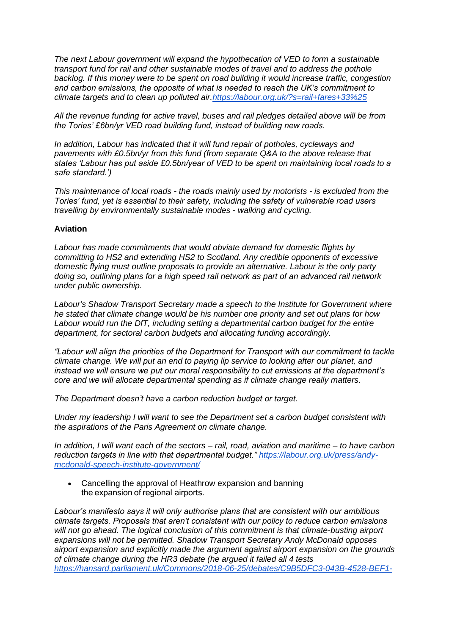*The next Labour government will expand the hypothecation of VED to form a sustainable transport fund for rail and other sustainable modes of travel and to address the pothole backlog. If this money were to be spent on road building it would increase traffic, congestion and carbon emissions, the opposite of what is needed to reach the UK's commitment to climate targets and to clean up polluted air[.https://labour.org.uk/?s=rail+fares+33%25](https://labour.org.uk/?s=rail+fares+33%25)*

*All the revenue funding for active travel, buses and rail pledges detailed above will be from the Tories' £6bn/yr VED road building fund, instead of building new roads.*

*In addition, Labour has indicated that it will fund repair of potholes, cycleways and pavements with £0.5bn/yr from this fund (from separate Q&A to the above release that states 'Labour has put aside £0.5bn/year of VED to be spent on maintaining local roads to a safe standard.')*

*This maintenance of local roads - the roads mainly used by motorists - is excluded from the Tories' fund, yet is essential to their safety, including the safety of vulnerable road users travelling by environmentally sustainable modes - walking and cycling.*

### **Aviation**

*Labour has made commitments that would obviate demand for domestic flights by committing to HS2 and extending HS2 to Scotland. Any credible opponents of excessive domestic flying must outline proposals to provide an alternative. Labour is the only party doing so, outlining plans for a high speed rail network as part of an advanced rail network under public ownership.*

*Labour's Shadow Transport Secretary made a speech to the Institute for Government where he stated that climate change would be his number one priority and set out plans for how Labour would run the DfT, including setting a departmental carbon budget for the entire department, for sectoral carbon budgets and allocating funding accordingly.*

*"Labour will align the priorities of the Department for Transport with our commitment to tackle climate change. We will put an end to paying lip service to looking after our planet, and instead we will ensure we put our moral responsibility to cut emissions at the department's core and we will allocate departmental spending as if climate change really matters.*

*The Department doesn't have a carbon reduction budget or target.*

*Under my leadership I will want to see the Department set a carbon budget consistent with the aspirations of the Paris Agreement on climate change.*

*In addition, I will want each of the sectors – rail, road, aviation and maritime – to have carbon reduction targets in line with that departmental budget." [https://labour.org.uk/press/andy](https://labour.org.uk/press/andy-mcdonald-speech-institute-government/)[mcdonald-speech-institute-government/](https://labour.org.uk/press/andy-mcdonald-speech-institute-government/)*

• Cancelling the approval of Heathrow expansion and banning the expansion of regional airports.

*Labour's manifesto says it will only authorise plans that are consistent with our ambitious climate targets. Proposals that aren't consistent with our policy to reduce carbon emissions will not go ahead. The logical conclusion of this commitment is that climate-busting airport expansions will not be permitted. Shadow Transport Secretary Andy McDonald opposes airport expansion and explicitly made the argument against airport expansion on the grounds of climate change during the HR3 debate (he argued it failed all 4 tests [https://hansard.parliament.uk/Commons/2018-06-25/debates/C9B5DFC3-043B-4528-BEF1-](https://hansard.parliament.uk/Commons/2018-06-25/debates/C9B5DFC3-043B-4528-BEF1-34D9512E637D/NationalPolicyStatementAirports)*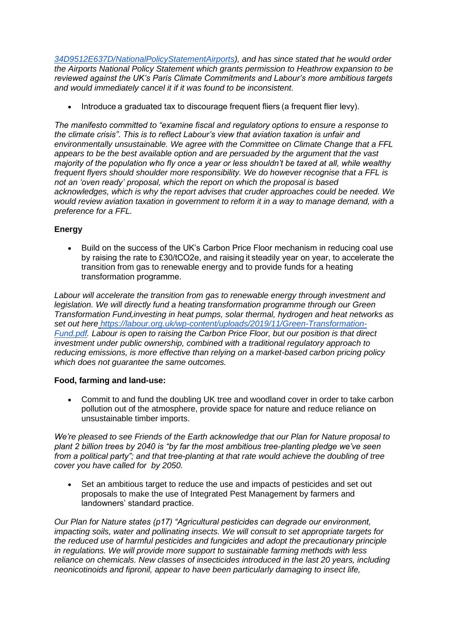*[34D9512E637D/NationalPolicyStatementAirports\)](https://hansard.parliament.uk/Commons/2018-06-25/debates/C9B5DFC3-043B-4528-BEF1-34D9512E637D/NationalPolicyStatementAirports), and has since stated that he would order the Airports National Policy Statement which grants permission to Heathrow expansion to be reviewed against the UK's Paris Climate Commitments and Labour's more ambitious targets and would immediately cancel it if it was found to be inconsistent.*

Introduce a graduated tax to discourage frequent fliers (a frequent flier levy).

*The manifesto committed to "examine fiscal and regulatory options to ensure a response to the climate crisis". This is to reflect Labour's view that aviation taxation is unfair and environmentally unsustainable. We agree with the Committee on Climate Change that a FFL appears to be the best available option and are persuaded by the argument that the vast majority of the population who fly once a year or less shouldn't be taxed at all, while wealthy frequent flyers should shoulder more responsibility. We do however recognise that a FFL is not an 'oven ready' proposal, which the report on which the proposal is based acknowledges, which is why the report advises that cruder approaches could be needed. We would review aviation taxation in government to reform it in a way to manage demand, with a preference for a FFL.*

# **Energy**

• Build on the success of the UK's Carbon Price Floor mechanism in reducing coal use by raising the rate to £30/tCO2e, and raising it steadily year on year, to accelerate the transition from gas to renewable energy and to provide funds for a heating transformation programme. 

*Labour will accelerate the transition from gas to renewable energy through investment and legislation. We will directly fund a heating transformation programme through our Green Transformation Fund,investing in heat pumps, solar thermal, hydrogen and heat networks as set out here [https://labour.org.uk/wp-content/uploads/2019/11/Green-Transformation-](https://labour.org.uk/wp-content/uploads/2019/11/Green-Transformation-Fund.pdf)[Fund.pdf.](https://labour.org.uk/wp-content/uploads/2019/11/Green-Transformation-Fund.pdf) Labour is open to raising the Carbon Price Floor, but our position is that direct investment under public ownership, combined with a traditional regulatory approach to reducing emissions, is more effective than relying on a market-based carbon pricing policy which does not guarantee the same outcomes.*

## **Food, farming and land-use:**

• Commit to and fund the doubling UK tree and woodland cover in order to take carbon pollution out of the atmosphere, provide space for nature and reduce reliance on unsustainable timber imports.

*We're pleased to see Friends of the Earth acknowledge that our Plan for Nature proposal to plant 2 billion trees by 2040 is "by far the most ambitious tree-planting pledge we've seen from a political party"; and that tree-planting at that rate would achieve the doubling of tree cover you have called for by 2050.*

• Set an ambitious target to reduce the use and impacts of pesticides and set out proposals to make the use of Integrated Pest Management by farmers and landowners' standard practice.

*Our Plan for Nature states (p17) "Agricultural pesticides can degrade our environment, impacting soils, water and pollinating insects. We will consult to set appropriate targets for the reduced use of harmful pesticides and fungicides and adopt the precautionary principle in regulations. We will provide more support to sustainable farming methods with less reliance on chemicals. New classes of insecticides introduced in the last 20 years, including neonicotinoids and fipronil, appear to have been particularly damaging to insect life,*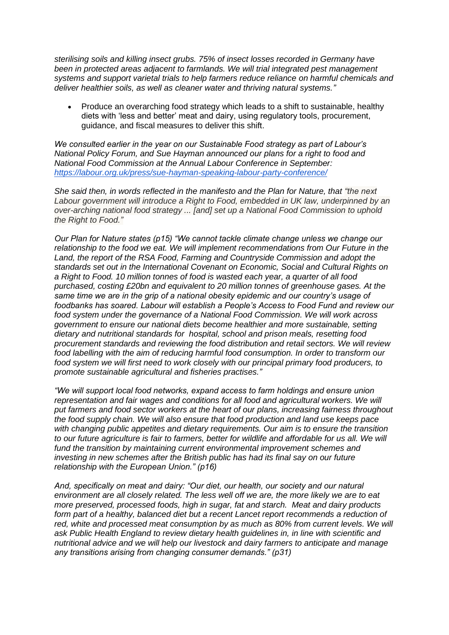*sterilising soils and killing insect grubs. 75% of insect losses recorded in Germany have been in protected areas adjacent to farmlands. We will trial integrated pest management systems and support varietal trials to help farmers reduce reliance on harmful chemicals and deliver healthier soils, as well as cleaner water and thriving natural systems."*

• Produce an overarching food strategy which leads to a shift to sustainable, healthy diets with 'less and better' meat and dairy, using regulatory tools, procurement, guidance, and fiscal measures to deliver this shift.

*We consulted earlier in the year on our Sustainable Food strategy as part of Labour's National Policy Forum, and Sue Hayman announced our plans for a right to food and National Food Commission at the Annual Labour Conference in September[:](https://labour.org.uk/press/sue-hayman-speaking-labour-party-conference/) <https://labour.org.uk/press/sue-hayman-speaking-labour-party-conference/>*

*She said then, in words reflected in the manifesto and the Plan for Nature, that "the next Labour government will introduce a Right to Food, embedded in UK law, underpinned by an over-arching national food strategy ... [and] set up a National Food Commission to uphold the Right to Food."*

*Our Plan for Nature states (p15) "We cannot tackle climate change unless we change our relationship to the food we eat. We will implement recommendations from Our Future in the Land, the report of the RSA Food, Farming and Countryside Commission and adopt the standards set out in the International Covenant on Economic, Social and Cultural Rights on a Right to Food. 10 million tonnes of food is wasted each year, a quarter of all food purchased, costing £20bn and equivalent to 20 million tonnes of greenhouse gases. At the same time we are in the grip of a national obesity epidemic and our country's usage of foodbanks has soared. Labour will establish a People's Access to Food Fund and review our food system under the governance of a National Food Commission. We will work across government to ensure our national diets become healthier and more sustainable, setting dietary and nutritional standards for hospital, school and prison meals, resetting food procurement standards and reviewing the food distribution and retail sectors. We will review food labelling with the aim of reducing harmful food consumption. In order to transform our food system we will first need to work closely with our principal primary food producers, to promote sustainable agricultural and fisheries practises."*

*"We will support local food networks, expand access to farm holdings and ensure union representation and fair wages and conditions for all food and agricultural workers. We will put farmers and food sector workers at the heart of our plans, increasing fairness throughout the food supply chain. We will also ensure that food production and land use keeps pace with changing public appetites and dietary requirements. Our aim is to ensure the transition to our future agriculture is fair to farmers, better for wildlife and affordable for us all. We will fund the transition by maintaining current environmental improvement schemes and investing in new schemes after the British public has had its final say on our future relationship with the European Union." (p16)*

*And, specifically on meat and dairy: "Our diet, our health, our society and our natural environment are all closely related. The less well off we are, the more likely we are to eat more preserved, processed foods, high in sugar, fat and starch. Meat and dairy products*  form part of a healthy, balanced diet but a recent Lancet report recommends a reduction of *red, white and processed meat consumption by as much as 80% from current levels. We will ask Public Health England to review dietary health guidelines in, in line with scientific and nutritional advice and we will help our livestock and dairy farmers to anticipate and manage any transitions arising from changing consumer demands." (p31)*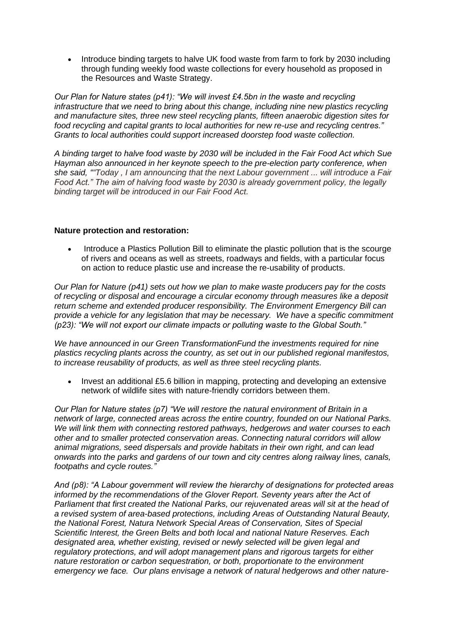• Introduce binding targets to halve UK food waste from farm to fork by 2030 including through funding weekly food waste collections for every household as proposed in the Resources and Waste Strategy.

*Our Plan for Nature states (p41): "We will invest £4.5bn in the waste and recycling infrastructure that we need to bring about this change, including nine new plastics recycling and manufacture sites, three new steel recycling plants, fifteen anaerobic digestion sites for food recycling and capital grants to local authorities for new re-use and recycling centres." Grants to local authorities could support increased doorstep food waste collection.*

*A binding target to halve food waste by 2030 will be included in the Fair Food Act which Sue Hayman also announced in her keynote speech to the pre-election party conference, when she said, ""Today , I am announcing that the next Labour government ... will introduce a Fair Food Act." The aim of halving food waste by 2030 is already government policy, the legally binding target will be introduced in our Fair Food Act.*

## **Nature protection and restoration:**

• Introduce a Plastics Pollution Bill to eliminate the plastic pollution that is the scourge of rivers and oceans as well as streets, roadways and fields, with a particular focus on action to reduce plastic use and increase the re-usability of products.

*Our Plan for Nature (p41) sets out how we plan to make waste producers pay for the costs of recycling or disposal and encourage a circular economy through measures like a deposit return scheme and extended producer responsibility. The Environment Emergency Bill can provide a vehicle for any legislation that may be necessary. We have a specific commitment (p23): "We will not export our climate impacts or polluting waste to the Global South."*

*We have announced in our Green TransformationFund the investments required for nine plastics recycling plants across the country, as set out in our published regional manifestos, to increase reusability of products, as well as three steel recycling plants.*

• Invest an additional £5.6 billion in mapping, protecting and developing an extensive network of wildlife sites with nature-friendly corridors between them.

*Our Plan for Nature states (p7) "We will restore the natural environment of Britain in a network of large, connected areas across the entire country, founded on our National Parks. We will link them with connecting restored pathways, hedgerows and water courses to each other and to smaller protected conservation areas. Connecting natural corridors will allow animal migrations, seed dispersals and provide habitats in their own right, and can lead onwards into the parks and gardens of our town and city centres along railway lines, canals, footpaths and cycle routes."*

*And (p8): "A Labour government will review the hierarchy of designations for protected areas informed by the recommendations of the Glover Report. Seventy years after the Act of Parliament that first created the National Parks, our rejuvenated areas will sit at the head of a revised system of area-based protections, including Areas of Outstanding Natural Beauty, the National Forest, Natura Network Special Areas of Conservation, Sites of Special Scientific Interest, the Green Belts and both local and national Nature Reserves. Each designated area, whether existing, revised or newly selected will be given legal and regulatory protections, and will adopt management plans and rigorous targets for either nature restoration or carbon sequestration, or both, proportionate to the environment emergency we face. Our plans envisage a network of natural hedgerows and other nature-*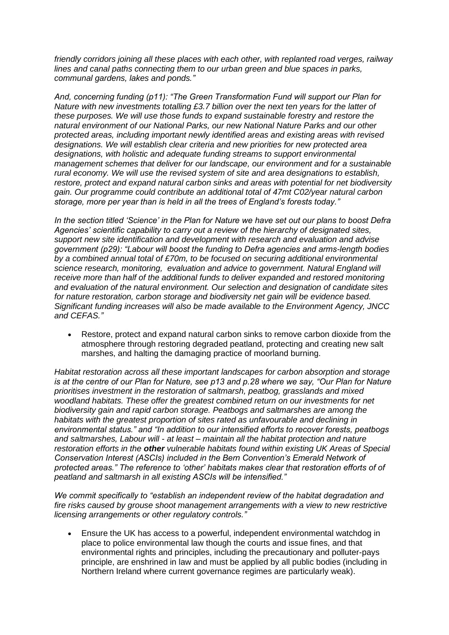*friendly corridors joining all these places with each other, with replanted road verges, railway lines and canal paths connecting them to our urban green and blue spaces in parks, communal gardens, lakes and ponds."*

*And, concerning funding (p11): "The Green Transformation Fund will support our Plan for Nature with new investments totalling £3.7 billion over the next ten years for the latter of these purposes. We will use those funds to expand sustainable forestry and restore the natural environment of our National Parks, our new National Nature Parks and our other protected areas, including important newly identified areas and existing areas with revised designations. We will establish clear criteria and new priorities for new protected area designations, with holistic and adequate funding streams to support environmental management schemes that deliver for our landscape, our environment and for a sustainable rural economy. We will use the revised system of site and area designations to establish, restore, protect and expand natural carbon sinks and areas with potential for net biodiversity gain. Our programme could contribute an additional total of 47mt C02/year natural carbon storage, more per year than is held in all the trees of England's forests today."*

*In the section titled 'Science' in the Plan for Nature we have set out our plans to boost Defra Agencies' scientific capability to carry out a review of the hierarchy of designated sites, support new site identification and development with research and evaluation and advise government (p29): "Labour will boost the funding to Defra agencies and arms-length bodies by a combined annual total of £70m, to be focused on securing additional environmental science research, monitoring, evaluation and advice to government. Natural England will receive more than half of the additional funds to deliver expanded and restored monitoring and evaluation of the natural environment. Our selection and designation of candidate sites for nature restoration, carbon storage and biodiversity net gain will be evidence based. Significant funding increases will also be made available to the Environment Agency, JNCC and CEFAS."*

• Restore, protect and expand natural carbon sinks to remove carbon dioxide from the atmosphere through restoring degraded peatland, protecting and creating new salt marshes, and halting the damaging practice of moorland burning.

*Habitat restoration across all these important landscapes for carbon absorption and storage is at the centre of our Plan for Nature, see p13 and p.28 where we say, "Our Plan for Nature prioritises investment in the restoration of saltmarsh, peatbog, grasslands and mixed woodland habitats. These offer the greatest combined return on our investments for net biodiversity gain and rapid carbon storage. Peatbogs and saltmarshes are among the habitats with the greatest proportion of sites rated as unfavourable and declining in environmental status." and "In addition to our intensified efforts to recover forests, peatbogs and saltmarshes, Labour will - at least – maintain all the habitat protection and nature restoration efforts in the other vulnerable habitats found within existing UK Areas of Special Conservation Interest (ASCIs) included in the Bern Convention's Emerald Network of protected areas." The reference to 'other' habitats makes clear that restoration efforts of of peatland and saltmarsh in all existing ASCIs will be intensified."*

*We commit specifically to "establish an independent review of the habitat degradation and fire risks caused by grouse shoot management arrangements with a view to new restrictive licensing arrangements or other regulatory controls."*

• Ensure the UK has access to a powerful, independent environmental watchdog in place to police environmental law though the courts and issue fines, and that environmental rights and principles, including the precautionary and polluter-pays principle, are enshrined in law and must be applied by all public bodies (including in Northern Ireland where current governance regimes are particularly weak).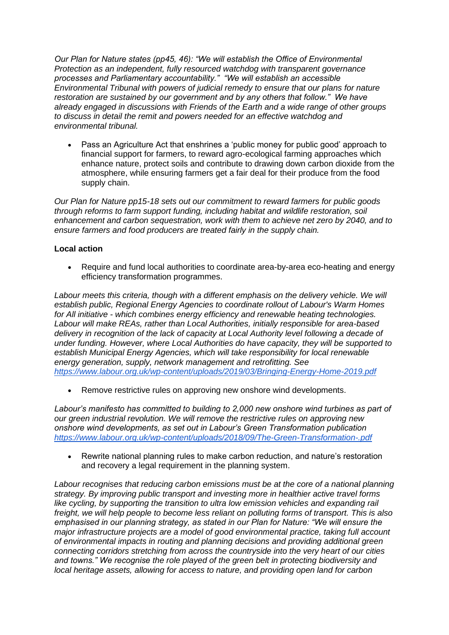*Our Plan for Nature states (pp45, 46): "We will establish the Office of Environmental Protection as an independent, fully resourced watchdog with transparent governance processes and Parliamentary accountability." "We will establish an accessible Environmental Tribunal with powers of judicial remedy to ensure that our plans for nature restoration are sustained by our government and by any others that follow." We have already engaged in discussions with Friends of the Earth and a wide range of other groups to discuss in detail the remit and powers needed for an effective watchdog and environmental tribunal.*

• Pass an Agriculture Act that enshrines a 'public money for public good' approach to financial support for farmers, to reward agro-ecological farming approaches which enhance nature, protect soils and contribute to drawing down carbon dioxide from the atmosphere, while ensuring farmers get a fair deal for their produce from the food supply chain.

*Our Plan for Nature pp15-18 sets out our commitment to reward farmers for public goods through reforms to farm support funding, including habitat and wildlife restoration, soil enhancement and carbon sequestration, work with them to achieve net zero by 2040, and to ensure farmers and food producers are treated fairly in the supply chain.*

## **Local action**

• Require and fund local authorities to coordinate area-by-area eco-heating and energy efficiency transformation programmes.

Labour meets this criteria, though with a different emphasis on the delivery vehicle. We will *establish public, Regional Energy Agencies to coordinate rollout of Labour's Warm Homes for All initiative - which combines energy efficiency and renewable heating technologies. Labour will make REAs, rather than Local Authorities, initially responsible for area-based delivery in recognition of the lack of capacity at Local Authority level following a decade of under funding. However, where Local Authorities do have capacity, they will be supported to establish Municipal Energy Agencies, which will take responsibility for local renewable energy generation, supply, network management and retrofitting. Se[e](https://www.labour.org.uk/wp-content/uploads/2019/03/Bringing-Energy-Home-2019.pdf) <https://www.labour.org.uk/wp-content/uploads/2019/03/Bringing-Energy-Home-2019.pdf>*

• Remove restrictive rules on approving new onshore wind developments.

*Labour's manifesto has committed to building to 2,000 new onshore wind turbines as part of our green industrial revolution. We will remove the restrictive rules on approving new onshore wind developments, as set out in Labour's Green Transformation publication <https://www.labour.org.uk/wp-content/uploads/2018/09/The-Green-Transformation-.pdf>*

• Rewrite national planning rules to make carbon reduction, and nature's restoration and recovery a legal requirement in the planning system.

*Labour recognises that reducing carbon emissions must be at the core of a national planning strategy. By improving public transport and investing more in healthier active travel forms*  like cycling, by supporting the transition to ultra low emission vehicles and expanding rail *freight, we will help people to become less reliant on polluting forms of transport. This is also emphasised in our planning strategy, as stated in our Plan for Nature: "We will ensure the major infrastructure projects are a model of good environmental practice, taking full account of environmental impacts in routing and planning decisions and providing additional green connecting corridors stretching from across the countryside into the very heart of our cities and towns." We recognise the role played of the green belt in protecting biodiversity and local heritage assets, allowing for access to nature, and providing open land for carbon*